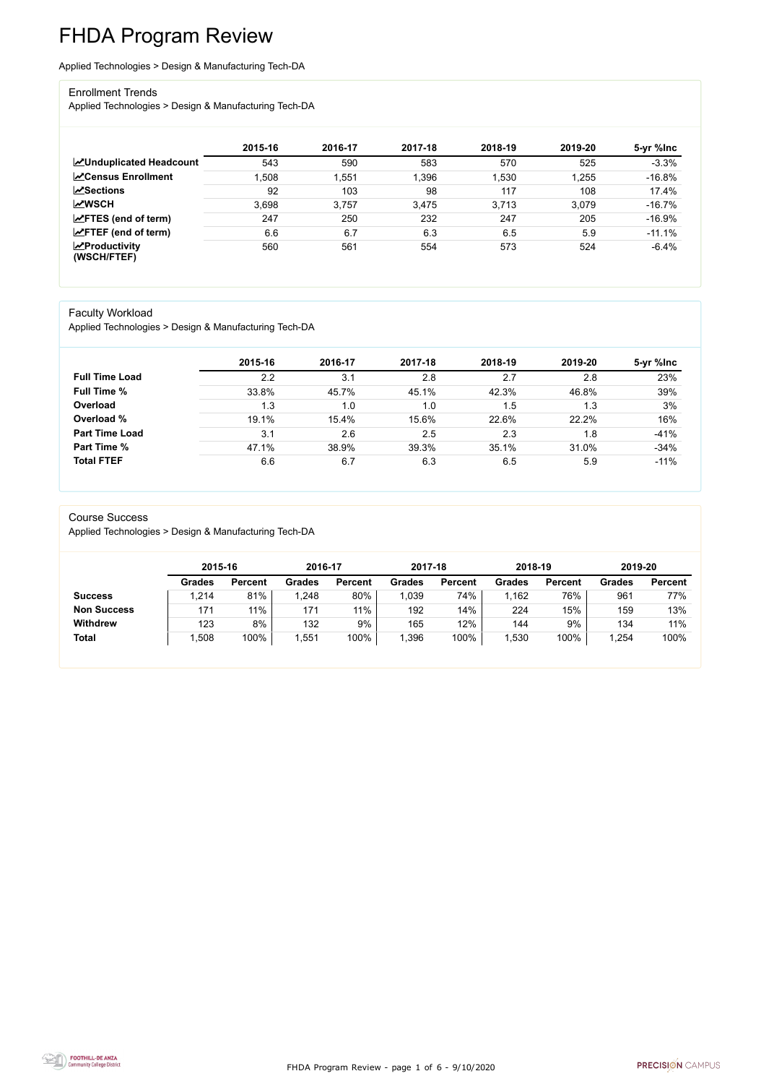FHDA Program Review - page 1 of 6 - 9/10/2020



# FHDA Program Review

Applied Technologies > Design & Manufacturing Tech-DA

#### Enrollment Trends

Applied Technologies > Design & Manufacturing Tech-DA

|                                                  | 2015-16 | 2016-17 | 2017-18 | 2018-19 | 2019-20 | 5-yr %lnc |
|--------------------------------------------------|---------|---------|---------|---------|---------|-----------|
| <b>ZUnduplicated Headcount</b>                   | 543     | 590     | 583     | 570     | 525     | $-3.3%$   |
| <b>ZCensus Enrollment</b>                        | 1,508   | 1,551   | 1,396   | 1,530   | 1,255   | $-16.8%$  |
| <b>ZSections</b>                                 | 92      | 103     | 98      | 117     | 108     | 17.4%     |
| <b>MWSCH</b>                                     | 3,698   | 3,757   | 3,475   | 3.713   | 3,079   | $-16.7%$  |
| $\angle$ FTES (end of term)                      | 247     | 250     | 232     | 247     | 205     | $-16.9%$  |
| $\angle$ FTEF (end of term)                      | 6.6     | 6.7     | 6.3     | 6.5     | 5.9     | $-11.1%$  |
| $\sqrt{\frac{1}{2}}$ Productivity<br>(WSCH/FTEF) | 560     | 561     | 554     | 573     | 524     | $-6.4%$   |

#### Faculty Workload

Applied Technologies > Design & Manufacturing Tech-DA

|                       | 2015-16 | 2016-17 | 2017-18 | 2018-19 | 2019-20 | 5-yr %Inc |
|-----------------------|---------|---------|---------|---------|---------|-----------|
| <b>Full Time Load</b> | 2.2     | 3.1     | 2.8     | 2.7     | 2.8     | 23%       |
| <b>Full Time %</b>    | 33.8%   | 45.7%   | 45.1%   | 42.3%   | 46.8%   | 39%       |
| Overload              | 1.3     | 1.0     | 1.0     | 1.5     | 1.3     | 3%        |
| Overload %            | 19.1%   | 15.4%   | 15.6%   | 22.6%   | 22.2%   | 16%       |
| <b>Part Time Load</b> | 3.1     | 2.6     | 2.5     | 2.3     | 1.8     | $-41%$    |
| <b>Part Time %</b>    | 47.1%   | 38.9%   | 39.3%   | 35.1%   | 31.0%   | $-34%$    |
| <b>Total FTEF</b>     | 6.6     | 6.7     | 6.3     | 6.5     | 5.9     | $-11%$    |

#### Course Success

Applied Technologies > Design & Manufacturing Tech-DA

|                    |               | 2015-16        |               | 2016-17        | 2017-18       |                | 2018-19       |                | 2019-20       |                |
|--------------------|---------------|----------------|---------------|----------------|---------------|----------------|---------------|----------------|---------------|----------------|
|                    | <b>Grades</b> | <b>Percent</b> | <b>Grades</b> | <b>Percent</b> | <b>Grades</b> | <b>Percent</b> | <b>Grades</b> | <b>Percent</b> | <b>Grades</b> | <b>Percent</b> |
| <b>Success</b>     | 1,214         | 81%            | .248          | 80%            | .039          | 74%            | ,162          | 76%            | 961           | 77%            |
| <b>Non Success</b> | 171           | 11%            | 171           | 11%            | 192           | 14%            | 224           | 15%            | 159           | 13%            |
| <b>Withdrew</b>    | 123           | 8%             | 132           | 9%             | 165           | 12%            | 144           | 9%             | 134           | 11%            |
| <b>Total</b>       | ,508          | 100%           | ,551          | 100%           | ,396          | 100%           | ,530          | 100%           | 1,254         | 100%           |

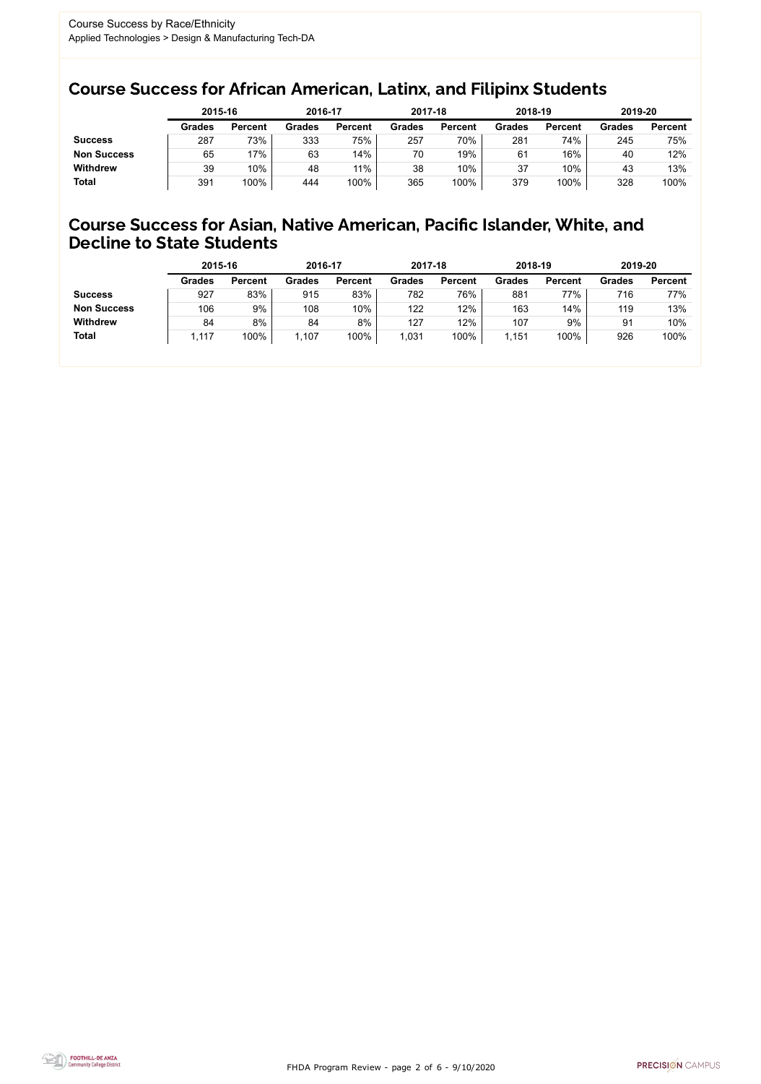FHDA Program Review - page 2 of 6 - 9/10/2020



### Course Success for African American, Latinx, and Filipinx Students

### Course Success for Asian, Native American, Pacific Islander, White, and Decline to State Students

|                    | 2015-16       |                | 2016-17       |                | 2017-18       |                | 2018-19       |                | 2019-20       |                |
|--------------------|---------------|----------------|---------------|----------------|---------------|----------------|---------------|----------------|---------------|----------------|
|                    | <b>Grades</b> | <b>Percent</b> | <b>Grades</b> | <b>Percent</b> | <b>Grades</b> | <b>Percent</b> | <b>Grades</b> | <b>Percent</b> | <b>Grades</b> | <b>Percent</b> |
| <b>Success</b>     | 287           | 73%            | 333           | 75%            | 257           | 70%            | 281           | 74%            | 245           | 75%            |
| <b>Non Success</b> | 65            | 17%            | 63            | 14%            | 70            | 19%            | 61            | 16%            | 40            | 12%            |
| <b>Withdrew</b>    | 39            | 10%            | 48            | 11%            | 38            | 10%            | 37            | 10%            | 43            | 13%            |
| <b>Total</b>       | 391           | 100%           | 444           | 100%           | 365           | 100%           | 379           | 100%           | 328           | 100%           |

|                    | 2015-16       |                | 2016-17       |                | 2017-18       |                | 2018-19       |                | 2019-20       |                |
|--------------------|---------------|----------------|---------------|----------------|---------------|----------------|---------------|----------------|---------------|----------------|
|                    | <b>Grades</b> | <b>Percent</b> | <b>Grades</b> | <b>Percent</b> | <b>Grades</b> | <b>Percent</b> | <b>Grades</b> | <b>Percent</b> | <b>Grades</b> | <b>Percent</b> |
| <b>Success</b>     | 927           | 83%            | 915           | 83%            | 782           | 76%            | 881           | 77%            | 716           | 77%            |
| <b>Non Success</b> | 106           | 9%             | 108           | 10%            | 122           | 12%            | 163           | 14%            | 119           | 13%            |
| <b>Withdrew</b>    | 84            | 8%             | 84            | 8%             | 127           | 12%            | 107           | 9%             | 91            | 10%            |
| <b>Total</b>       | 1,117         | 100%           | 1,107         | 100%           | 1,031         | 100%           | ,151          | 100%           | 926           | 100%           |
|                    |               |                |               |                |               |                |               |                |               |                |

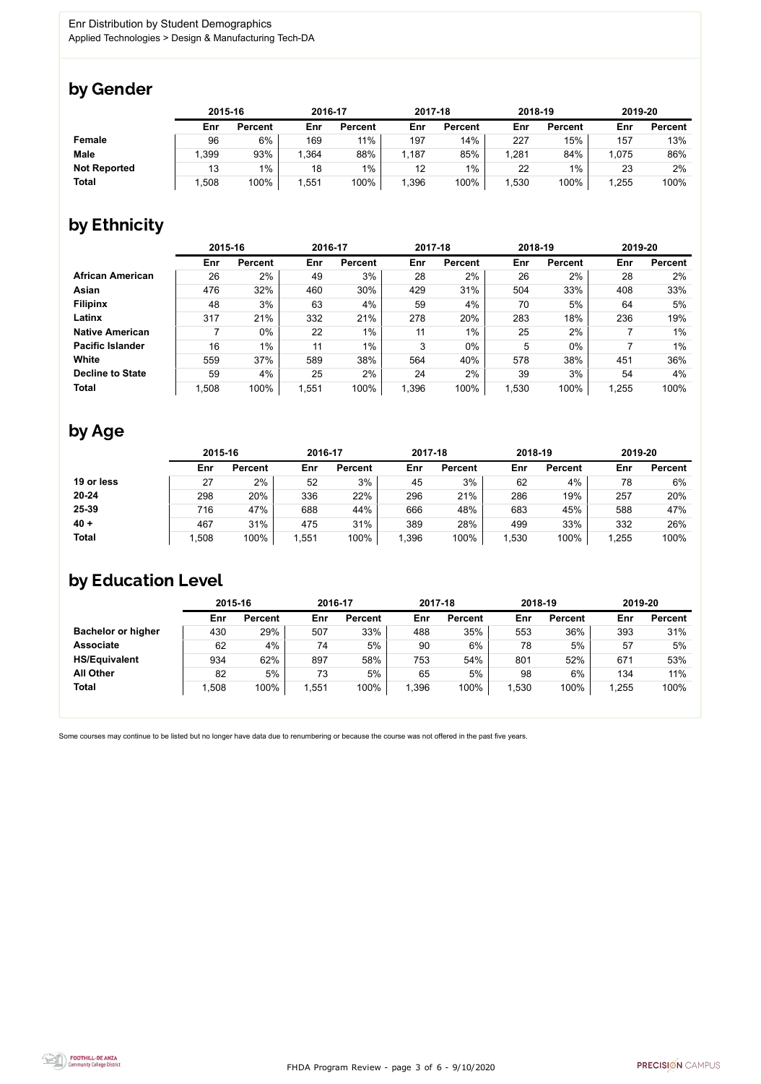

### by Gender

|                     | 2015-16 |                |      | 2016-17        |       | 2017-18        | 2018-19 |                | 2019-20 |                |
|---------------------|---------|----------------|------|----------------|-------|----------------|---------|----------------|---------|----------------|
|                     | Enr     | <b>Percent</b> | Enr  | <b>Percent</b> | Enr   | <b>Percent</b> | Enr     | <b>Percent</b> | Enr     | <b>Percent</b> |
| <b>Female</b>       | 96      | 6%             | 169  | 11%            | 197   | 14%            | 227     | 15%            | 157     | 13%            |
| <b>Male</b>         | .399    | 93%            | .364 | 88%            | 1,187 | 85%            | ,281    | 84%            | 1,075   | 86%            |
| <b>Not Reported</b> | 13      | $1\%$          | 18   | $1\%$          | 12    | $1\%$          | 22      | $1\%$          | 23      | 2%             |
| <b>Total</b>        | ,508    | 100%           | ,551 | 100%           | 1,396 | 100%           | ,530    | 100%           | .255    | 100%           |

## by Ethnicity

|                         |       | 2015-16        |      | 2016-17        |       | 2017-18        | 2018-19 |                | 2019-20 |                |
|-------------------------|-------|----------------|------|----------------|-------|----------------|---------|----------------|---------|----------------|
|                         | Enr   | <b>Percent</b> | Enr  | <b>Percent</b> | Enr   | <b>Percent</b> | Enr     | <b>Percent</b> | Enr     | <b>Percent</b> |
| <b>African American</b> | 26    | 2%             | 49   | 3%             | 28    | 2%             | 26      | 2%             | 28      | 2%             |
| Asian                   | 476   | 32%            | 460  | 30%            | 429   | 31%            | 504     | 33%            | 408     | 33%            |
| <b>Filipinx</b>         | 48    | 3%             | 63   | 4%             | 59    | 4%             | 70      | 5%             | 64      | 5%             |
| Latinx                  | 317   | 21%            | 332  | 21%            | 278   | 20%            | 283     | 18%            | 236     | 19%            |
| <b>Native American</b>  |       | $0\%$          | 22   | $1\%$          | 11    | 1%             | 25      | 2%             |         | $1\%$          |
| <b>Pacific Islander</b> | 16    | $1\%$          | 11   | $1\%$          | 3     | $0\%$          | 5       | $0\%$          |         | $1\%$          |
| White                   | 559   | 37%            | 589  | 38%            | 564   | 40%            | 578     | 38%            | 451     | 36%            |
| <b>Decline to State</b> | 59    | 4%             | 25   | 2%             | 24    | 2%             | 39      | 3%             | 54      | 4%             |
| <b>Total</b>            | 1,508 | 100%           | ,551 | 100%           | 1,396 | 100%           | 1,530   | 100%           | 1,255   | 100%           |

## by Age

|              | 2015-16 |                | 2016-17 |                | 2017-18 |                | 2018-19 |                | 2019-20 |                |
|--------------|---------|----------------|---------|----------------|---------|----------------|---------|----------------|---------|----------------|
|              | Enr     | <b>Percent</b> | Enr     | <b>Percent</b> | Enr     | <b>Percent</b> | Enr     | <b>Percent</b> | Enr     | <b>Percent</b> |
| 19 or less   | 27      | 2%             | 52      | 3%             | 45      | 3%             | 62      | 4%             | 78      | 6%             |
| $20 - 24$    | 298     | 20%            | 336     | 22%            | 296     | 21%            | 286     | 19%            | 257     | 20%            |
| 25-39        | 716     | 47%            | 688     | 44%            | 666     | 48%            | 683     | 45%            | 588     | 47%            |
| $40 +$       | 467     | 31%            | 475     | 31%            | 389     | 28%            | 499     | 33%            | 332     | 26%            |
| <b>Total</b> | ,508    | 100%           | 1,551   | 100%           | ,396    | 100%           | ,530    | 100%           | 1,255   | 100%           |

## by Education Level

|                           | 2015-16 |                |      | 2016-17        |       | 2017-18        | 2018-19 |                | 2019-20 |                |
|---------------------------|---------|----------------|------|----------------|-------|----------------|---------|----------------|---------|----------------|
|                           | Enr     | <b>Percent</b> | Enr  | <b>Percent</b> | Enr   | <b>Percent</b> | Enr     | <b>Percent</b> | Enr     | <b>Percent</b> |
| <b>Bachelor or higher</b> | 430     | 29%            | 507  | 33%            | 488   | 35%            | 553     | 36%            | 393     | 31%            |
| <b>Associate</b>          | 62      | 4%             | 74   | 5%             | 90    | 6%             | 78      | 5%             | 57      | 5%             |
| <b>HS/Equivalent</b>      | 934     | 62%            | 897  | 58%            | 753   | 54%            | 801     | 52%            | 671     | 53%            |
| <b>All Other</b>          | 82      | 5%             | 73   | 5%             | 65    | 5%             | 98      | 6%             | 134     | 11%            |
| <b>Total</b>              | 1,508   | 100%           | ,551 | 100%           | 1,396 | 100%           | ,530    | 100%           | 1,255   | 100%           |

Some courses may continue to be listed but no longer have data due to renumbering or because the course was not offered in the past five years.

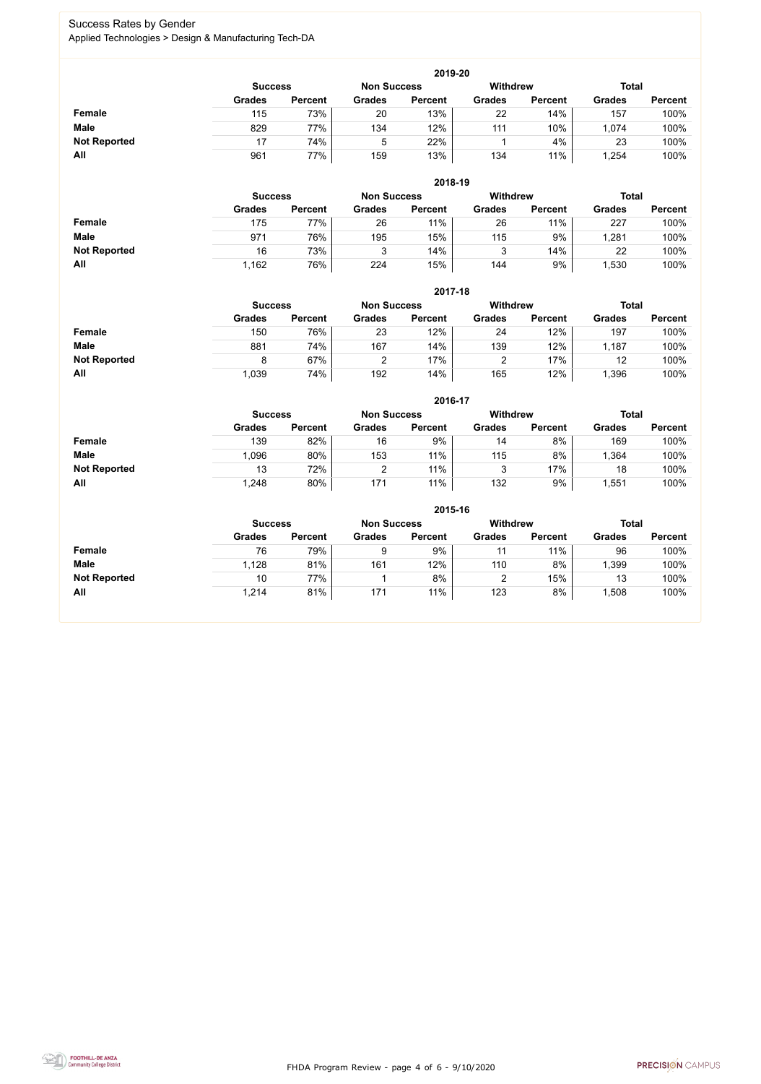FHDA Program Review - page 4 of 6 - 9/10/2020



### Success Rates by Gender Applied Technologies > Design & Manufacturing Tech-DA

|                     | 2019-20        |                |                    |                 |               |                |               |                |  |  |  |  |  |
|---------------------|----------------|----------------|--------------------|-----------------|---------------|----------------|---------------|----------------|--|--|--|--|--|
|                     | <b>Success</b> |                | <b>Non Success</b> | <b>Withdrew</b> |               | <b>Total</b>   |               |                |  |  |  |  |  |
|                     | <b>Grades</b>  | <b>Percent</b> | <b>Grades</b>      | <b>Percent</b>  | <b>Grades</b> | <b>Percent</b> | <b>Grades</b> | <b>Percent</b> |  |  |  |  |  |
| <b>Female</b>       | 115            | 73%            | 20                 | 13%             | 22            | 14%            | 157           | 100%           |  |  |  |  |  |
| <b>Male</b>         | 829            | 77%            | 134                | 12%             | 111           | 10%            | 1,074         | 100%           |  |  |  |  |  |
| <b>Not Reported</b> |                | 74%            | 5                  | 22%             |               | 4%             | 23            | 100%           |  |  |  |  |  |
| All                 | 961            | 77%            | 159                | 13%             | 134           | 11%            | ,254          | 100%           |  |  |  |  |  |

|                     |                | 2018-19        |                    |                |                 |                |               |                |  |  |  |  |  |  |
|---------------------|----------------|----------------|--------------------|----------------|-----------------|----------------|---------------|----------------|--|--|--|--|--|--|
|                     | <b>Success</b> |                | <b>Non Success</b> |                | <b>Withdrew</b> |                |               | <b>Total</b>   |  |  |  |  |  |  |
|                     | <b>Grades</b>  | <b>Percent</b> | <b>Grades</b>      | <b>Percent</b> | <b>Grades</b>   | <b>Percent</b> | <b>Grades</b> | <b>Percent</b> |  |  |  |  |  |  |
| Female              | 175            | 77%            | 26                 | 11%            | 26              | 11%            | 227           | 100%           |  |  |  |  |  |  |
| <b>Male</b>         | 971            | 76%            | 195                | 15%            | 115             | 9%             | 1,281         | 100%           |  |  |  |  |  |  |
| <b>Not Reported</b> | 16             | 73%            | ບ                  | 14%            |                 | 14%            | 22            | 100%           |  |  |  |  |  |  |
| All                 | 1,162          | 76%            | 224                | 15%            | 144             | 9%             | 1,530         | 100%           |  |  |  |  |  |  |

|                     |                | 2017-18        |                    |                |                 |                |               |                |  |  |  |  |  |
|---------------------|----------------|----------------|--------------------|----------------|-----------------|----------------|---------------|----------------|--|--|--|--|--|
|                     | <b>Success</b> |                | <b>Non Success</b> |                | <b>Withdrew</b> |                |               | <b>Total</b>   |  |  |  |  |  |
|                     | <b>Grades</b>  | <b>Percent</b> | <b>Grades</b>      | <b>Percent</b> | <b>Grades</b>   | <b>Percent</b> | <b>Grades</b> | <b>Percent</b> |  |  |  |  |  |
| Female              | 150            | 76%            | 23                 | 12%            | 24              | 12%            | 197           | 100%           |  |  |  |  |  |
| <b>Male</b>         | 881            | 74%            | 167                | 14%            | 139             | 12%            | 1,187         | 100%           |  |  |  |  |  |
| <b>Not Reported</b> | 8              | 67%            |                    | 17%            |                 | 17%            | 12            | 100%           |  |  |  |  |  |
| All                 | 1,039          | 74%            | 192                | 14%            | 165             | 12%            | ,396          | 100%           |  |  |  |  |  |

|                     |               | 2016-17                              |                 |                |               |                 |               |                |  |  |
|---------------------|---------------|--------------------------------------|-----------------|----------------|---------------|-----------------|---------------|----------------|--|--|
|                     |               | <b>Non Success</b><br><b>Success</b> |                 |                |               | <b>Withdrew</b> | <b>Total</b>  |                |  |  |
|                     | <b>Grades</b> | <b>Percent</b>                       | <b>Grades</b>   | <b>Percent</b> | <b>Grades</b> | <b>Percent</b>  | <b>Grades</b> | <b>Percent</b> |  |  |
| <b>Female</b>       | 139           | 82%                                  | 16              | 9%             | 14            | 8%              | 169           | 100%           |  |  |
| <b>Male</b>         | 1,096         | 80%                                  | 153             | 11%            | 115           | 8%              | 1,364         | 100%           |  |  |
| <b>Not Reported</b> | 13            | 72%                                  |                 | 11%            | 2<br>ບ        | 17%             | 18            | 100%           |  |  |
| All                 | 1,248         | 80%                                  | 17 <sup>′</sup> | 11%            | 132           | 9%              | ,551          | 100%           |  |  |

|                     | 2015-16        |                |                    |                |               |                |               |                |  |
|---------------------|----------------|----------------|--------------------|----------------|---------------|----------------|---------------|----------------|--|
|                     | <b>Success</b> |                | <b>Non Success</b> |                | Withdrew      |                | <b>Total</b>  |                |  |
|                     | <b>Grades</b>  | <b>Percent</b> | <b>Grades</b>      | <b>Percent</b> | <b>Grades</b> | <b>Percent</b> | <b>Grades</b> | <b>Percent</b> |  |
| Female              | 76             | 79%            | 9                  | 9%             | 11            | 11%            | 96            | 100%           |  |
| <b>Male</b>         | 1,128          | 81%            | 161                | 12%            | 110           | 8%             | ,399          | 100%           |  |
| <b>Not Reported</b> | 10             | 77%            |                    | 8%             | າ<br>∠        | 15%            | 13            | 100%           |  |
| All                 | 1,214          | 81%            | 171                | 11%            | 123           | 8%             | ,508          | 100%           |  |

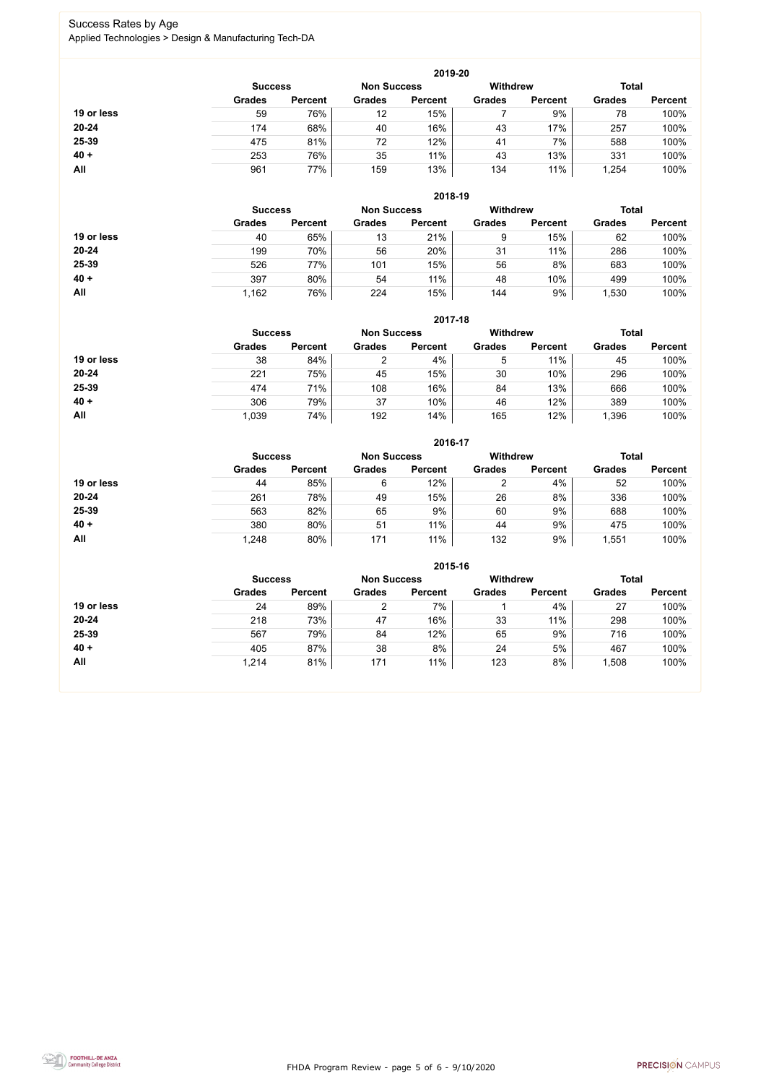FHDA Program Review - page 5 of 6 - 9/10/2020



### Success Rates by Age Applied Technologies > Design & Manufacturing Tech-DA

|            |                |                    |               | 2019-20         |               |                |               |                |
|------------|----------------|--------------------|---------------|-----------------|---------------|----------------|---------------|----------------|
|            | <b>Success</b> | <b>Non Success</b> |               | <b>Withdrew</b> |               | <b>Total</b>   |               |                |
|            | <b>Grades</b>  | <b>Percent</b>     | <b>Grades</b> | <b>Percent</b>  | <b>Grades</b> | <b>Percent</b> | <b>Grades</b> | <b>Percent</b> |
| 19 or less | 59             | 76%                | 12            | 15%             |               | 9%             | 78            | 100%           |
| 20-24      | 174            | 68%                | 40            | 16%             | 43            | 17%            | 257           | 100%           |
| 25-39      | 475            | 81%                | 72            | 12%             | 41            | 7%             | 588           | 100%           |
| $40 +$     | 253            | 76%                | 35            | 11%             | 43            | 13%            | 331           | 100%           |
| All        | 961            | 77%                | 159           | 13%             | 134           | 11%            | 1,254         | 100%           |

|            | 2018-19        |                |               |                    |                 |                |               |                |  |
|------------|----------------|----------------|---------------|--------------------|-----------------|----------------|---------------|----------------|--|
|            | <b>Success</b> |                |               | <b>Non Success</b> | <b>Withdrew</b> |                | <b>Total</b>  |                |  |
|            | <b>Grades</b>  | <b>Percent</b> | <b>Grades</b> | <b>Percent</b>     | <b>Grades</b>   | <b>Percent</b> | <b>Grades</b> | <b>Percent</b> |  |
| 19 or less | 40             | 65%            | 13            | 21%                | 9               | 15%            | 62            | 100%           |  |
| $20 - 24$  | 199            | 70%            | 56            | 20%                | 31              | 11%            | 286           | 100%           |  |
| 25-39      | 526            | 77%            | 101           | 15%                | 56              | 8%             | 683           | 100%           |  |
| $40 +$     | 397            | 80%            | 54            | 11%                | 48              | 10%            | 499           | 100%           |  |
| All        | 1,162          | 76%            | 224           | 15%                | 144             | 9%             | ,530          | 100%           |  |

|            | 2017-18                              |                |                |                |                 |                |               |                |  |  |
|------------|--------------------------------------|----------------|----------------|----------------|-----------------|----------------|---------------|----------------|--|--|
|            | <b>Non Success</b><br><b>Success</b> |                |                |                | <b>Withdrew</b> |                | <b>Total</b>  |                |  |  |
|            | <b>Grades</b>                        | <b>Percent</b> | <b>Grades</b>  | <b>Percent</b> | <b>Grades</b>   | <b>Percent</b> | <b>Grades</b> | <b>Percent</b> |  |  |
| 19 or less | 38                                   | 84%            | $\overline{2}$ | 4%             | 5               | 11%            | 45            | 100%           |  |  |
| $20 - 24$  | 221                                  | 75%            | 45             | 15%            | 30              | 10%            | 296           | 100%           |  |  |
| 25-39      | 474                                  | 71%            | 108            | 16%            | 84              | 13%            | 666           | 100%           |  |  |
| $40 +$     | 306                                  | 79%            | 37             | 10%            | 46              | 12%            | 389           | 100%           |  |  |
| All        | 1,039                                | 74%            | 192            | 14%            | 165             | 12%            | ,396          | 100%           |  |  |

|            |                                      |                |               | 2016-17        |                 |                |               |                |
|------------|--------------------------------------|----------------|---------------|----------------|-----------------|----------------|---------------|----------------|
|            | <b>Non Success</b><br><b>Success</b> |                |               |                | <b>Withdrew</b> |                | <b>Total</b>  |                |
|            | <b>Grades</b>                        | <b>Percent</b> | <b>Grades</b> | <b>Percent</b> | <b>Grades</b>   | <b>Percent</b> | <b>Grades</b> | <b>Percent</b> |
| 19 or less | 44                                   | 85%            | 6             | 12%            |                 | 4%             | 52            | 100%           |
| $20 - 24$  | 261                                  | 78%            | 49            | 15%            | 26              | 8%             | 336           | 100%           |
| 25-39      | 563                                  | 82%            | 65            | 9%             | 60              | 9%             | 688           | 100%           |
| $40 +$     | 380                                  | 80%            | 51            | 11%            | 44              | 9%             | 475           | 100%           |
| All        | 1,248                                | 80%            | 171           | 11%            | 132             | 9%             | 1,551         | 100%           |

|            | 2015-16                              |                |               |                |                 |                |               |                |  |  |
|------------|--------------------------------------|----------------|---------------|----------------|-----------------|----------------|---------------|----------------|--|--|
|            | <b>Non Success</b><br><b>Success</b> |                |               |                | <b>Withdrew</b> |                | <b>Total</b>  |                |  |  |
|            | <b>Grades</b>                        | <b>Percent</b> | <b>Grades</b> | <b>Percent</b> | <b>Grades</b>   | <b>Percent</b> | <b>Grades</b> | <b>Percent</b> |  |  |
| 19 or less | 24                                   | 89%            |               | 7%             |                 | 4%             | 27            | 100%           |  |  |
| $20 - 24$  | 218                                  | 73%            | 47            | 16%            | 33              | 11%            | 298           | 100%           |  |  |
| 25-39      | 567                                  | 79%            | 84            | 12%            | 65              | 9%             | 716           | 100%           |  |  |
| $40 +$     | 405                                  | 87%            | 38            | 8%             | 24              | 5%             | 467           | 100%           |  |  |
| All        | 1,214                                | 81%            | 171           | 11%            | 123             | 8%             | 1,508         | 100%           |  |  |